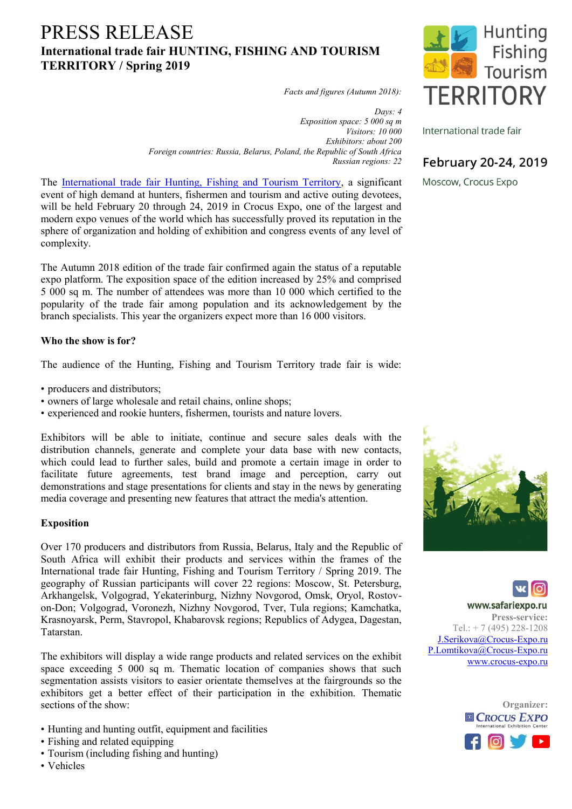# PRESS RELEASE **International trade fair HUNTING, FISHING AND TOURISM TERRITORY / Spring 2019**

*Facts and figures (Autumn 2018):*

*Days: 4 Exposition space: 5 000 sq m Visitors: 10 000 Exhibitors: about 200 Foreign countries: Russia, Belarus, Poland, the Republic of South Africa Russian regions: 22*

The [International trade fair Hunting, Fishing and Tourism Territory,](http://eng.safariexpo.ru/safari/exhibition/) a significant event of high demand at hunters, fishermen and tourism and active outing devotees, will be held February 20 through 24, 2019 in Crocus Expo, one of the largest and modern expo venues of the world which has successfully proved its reputation in the sphere of organization and holding of exhibition and congress events of any level of complexity.

The Autumn 2018 edition of the trade fair confirmed again the status of a reputable expo platform. The exposition space of the edition increased by 25% and comprised 5 000 sq m. The number of attendees was more than 10 000 which certified to the popularity of the trade fair among population and its acknowledgement by the branch specialists. This year the organizers expect more than 16 000 visitors.

### **Who the show is for?**

The audience of the Hunting, Fishing and Tourism Territory trade fair is wide:

- producers and distributors;
- owners of large wholesale and retail chains, online shops;
- experienced and rookie hunters, fishermen, tourists and nature lovers.

Exhibitors will be able to initiate, continue and secure sales deals with the distribution channels, generate and complete your data base with new contacts, which could lead to further sales, build and promote a certain image in order to facilitate future agreements, test brand image and perception, carry out demonstrations and stage presentations for clients and stay in the news by generating media coverage and presenting new features that attract the media's attention.

### **Exposition**

Over 170 producers and distributors from Russia, Belarus, Italy and the Republic of South Africa will exhibit their products and services within the frames of the International trade fair Hunting, Fishing and Tourism Territory / Spring 2019. The geography of Russian participants will cover 22 regions: Moscow, St. Petersburg, Arkhangelsk, Volgograd, Yekaterinburg, Nizhny Novgorod, Omsk, Oryol, Rostovon-Don; Volgograd, Voronezh, Nizhny Novgorod, Tver, Tula regions; Kamchatka, Krasnoyarsk, Perm, Stavropol, Khabarovsk regions; Republics of Adygea, Dagestan, Tatarstan.

The exhibitors will display a wide range products and related services on the exhibit space exceeding 5 000 sq m. Thematic location of companies shows that such segmentation assists visitors to easier orientate themselves at the fairgrounds so the exhibitors get a better effect of their participation in the exhibition. Thematic sections of the show:

- Hunting and hunting outfit, equipment and facilities
- Fishing and related equipping
- Tourism (including fishing and hunting)
- Vehicles



International trade fair

## February 20-24, 2019

Moscow, Crocus Expo





**Press-service:**  $Tel: + 7(495) 228-1208$ J.Serikova@Crocus-Expo.ru P.Lomtikova@Crocus-Expo.ru www.crocus-expo.ru